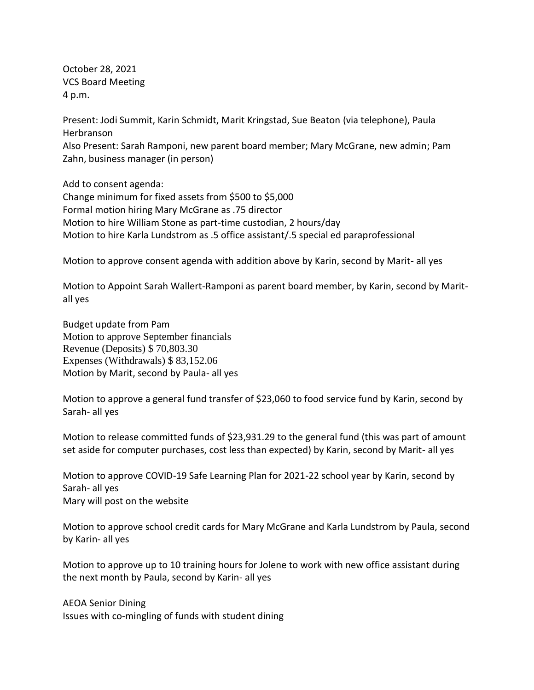October 28, 2021 VCS Board Meeting 4 p.m.

Present: Jodi Summit, Karin Schmidt, Marit Kringstad, Sue Beaton (via telephone), Paula Herbranson Also Present: Sarah Ramponi, new parent board member; Mary McGrane, new admin; Pam Zahn, business manager (in person)

Add to consent agenda: Change minimum for fixed assets from \$500 to \$5,000 Formal motion hiring Mary McGrane as .75 director Motion to hire William Stone as part-time custodian, 2 hours/day Motion to hire Karla Lundstrom as .5 office assistant/.5 special ed paraprofessional

Motion to approve consent agenda with addition above by Karin, second by Marit- all yes

Motion to Appoint Sarah Wallert-Ramponi as parent board member, by Karin, second by Maritall yes

Budget update from Pam Motion to approve September financials Revenue (Deposits) \$ 70,803.30 Expenses (Withdrawals) \$ 83,152.06 Motion by Marit, second by Paula- all yes

Motion to approve a general fund transfer of \$23,060 to food service fund by Karin, second by Sarah- all yes

Motion to release committed funds of \$23,931.29 to the general fund (this was part of amount set aside for computer purchases, cost less than expected) by Karin, second by Marit- all yes

Motion to approve COVID-19 Safe Learning Plan for 2021-22 school year by Karin, second by Sarah- all yes Mary will post on the website

Motion to approve school credit cards for Mary McGrane and Karla Lundstrom by Paula, second by Karin- all yes

Motion to approve up to 10 training hours for Jolene to work with new office assistant during the next month by Paula, second by Karin- all yes

AEOA Senior Dining Issues with co-mingling of funds with student dining